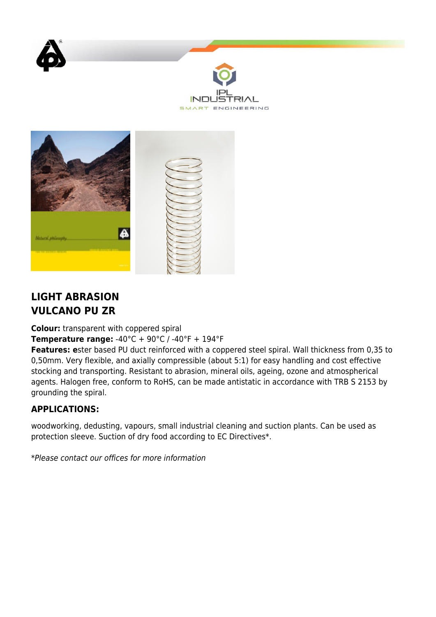



## **LIGHT ABRASION VULCANO PU ZR**

**Colour:** transparent with coppered spiral

**Temperature range:** -40°C + 90°C / -40°F + 194°F

**Features: e**ster based PU duct reinforced with a coppered steel spiral. Wall thickness from 0,35 to 0,50mm. Very flexible, and axially compressible (about 5:1) for easy handling and cost effective stocking and transporting. Resistant to abrasion, mineral oils, ageing, ozone and atmospherical agents. Halogen free, conform to RoHS, can be made antistatic in accordance with TRB S 2153 by grounding the spiral.

## **APPLICATIONS:**

woodworking, dedusting, vapours, small industrial cleaning and suction plants. Can be used as protection sleeve. Suction of dry food according to EC Directives\*.

\*Please contact our offices for more information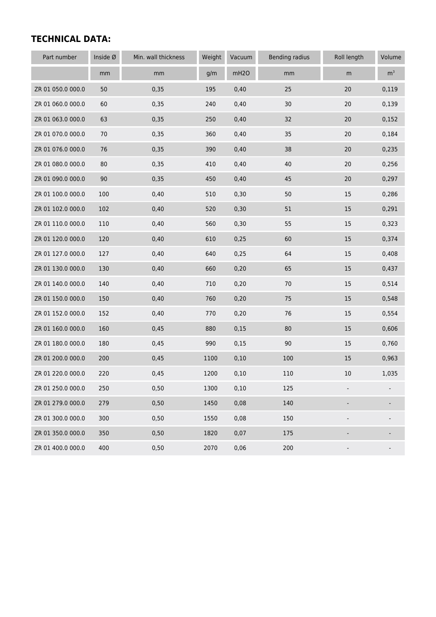## **TECHNICAL DATA:**

| Part number       | Inside Ø | Min. wall thickness | Weight | Vacuum           | <b>Bending radius</b> | Roll length              | Volume         |
|-------------------|----------|---------------------|--------|------------------|-----------------------|--------------------------|----------------|
|                   | mm       | $\,mm$              | g/m    | mH <sub>20</sub> | mm                    | m                        | m <sup>3</sup> |
| ZR 01 050.0 000.0 | 50       | 0,35                | 195    | 0,40             | 25                    | 20                       | 0,119          |
| ZR 01 060.0 000.0 | 60       | 0,35                | 240    | 0,40             | 30                    | 20                       | 0,139          |
| ZR 01 063.0 000.0 | 63       | 0,35                | 250    | 0,40             | 32                    | 20                       | 0,152          |
| ZR 01 070.0 000.0 | $70\,$   | 0,35                | 360    | 0,40             | 35                    | $20$                     | 0,184          |
| ZR 01 076.0 000.0 | 76       | 0,35                | 390    | 0,40             | 38                    | 20                       | 0,235          |
| ZR 01 080.0 000.0 | 80       | 0,35                | 410    | 0,40             | 40                    | $20$                     | 0,256          |
| ZR 01 090.0 000.0 | 90       | 0,35                | 450    | 0,40             | 45                    | 20                       | 0,297          |
| ZR 01 100.0 000.0 | 100      | 0,40                | 510    | 0,30             | 50                    | 15                       | 0,286          |
| ZR 01 102.0 000.0 | 102      | 0,40                | 520    | 0, 30            | 51                    | 15                       | 0,291          |
| ZR 01 110.0 000.0 | 110      | 0,40                | 560    | 0,30             | 55                    | 15                       | 0,323          |
| ZR 01 120.0 000.0 | 120      | 0,40                | 610    | 0,25             | 60                    | 15                       | 0,374          |
| ZR 01 127.0 000.0 | 127      | 0,40                | 640    | 0,25             | 64                    | 15                       | 0,408          |
| ZR 01 130.0 000.0 | 130      | 0,40                | 660    | 0,20             | 65                    | 15                       | 0,437          |
| ZR 01 140.0 000.0 | 140      | 0,40                | 710    | 0,20             | 70                    | 15                       | 0,514          |
| ZR 01 150.0 000.0 | 150      | 0,40                | 760    | 0,20             | 75                    | 15                       | 0,548          |
| ZR 01 152.0 000.0 | 152      | 0,40                | 770    | 0,20             | 76                    | 15                       | 0,554          |
| ZR 01 160.0 000.0 | 160      | 0,45                | 880    | 0,15             | 80                    | 15                       | 0,606          |
| ZR 01 180.0 000.0 | 180      | 0,45                | 990    | 0,15             | 90                    | 15                       | 0,760          |
| ZR 01 200.0 000.0 | 200      | 0,45                | 1100   | 0,10             | 100                   | 15                       | 0,963          |
| ZR 01 220.0 000.0 | 220      | 0,45                | 1200   | 0,10             | 110                   | 10                       | 1,035          |
| ZR 01 250.0 000.0 | 250      | 0,50                | 1300   | 0,10             | 125                   |                          |                |
| ZR 01 279.0 000.0 | 279      | 0,50                | 1450   | 0,08             | 140                   |                          |                |
| ZR 01 300.0 000.0 | 300      | 0,50                | 1550   | 0,08             | 150                   |                          |                |
| ZR 01 350.0 000.0 | 350      | 0,50                | 1820   | 0,07             | 175                   |                          |                |
| ZR 01 400.0 000.0 | 400      | 0,50                | 2070   | 0,06             | 200                   | $\overline{\phantom{a}}$ |                |